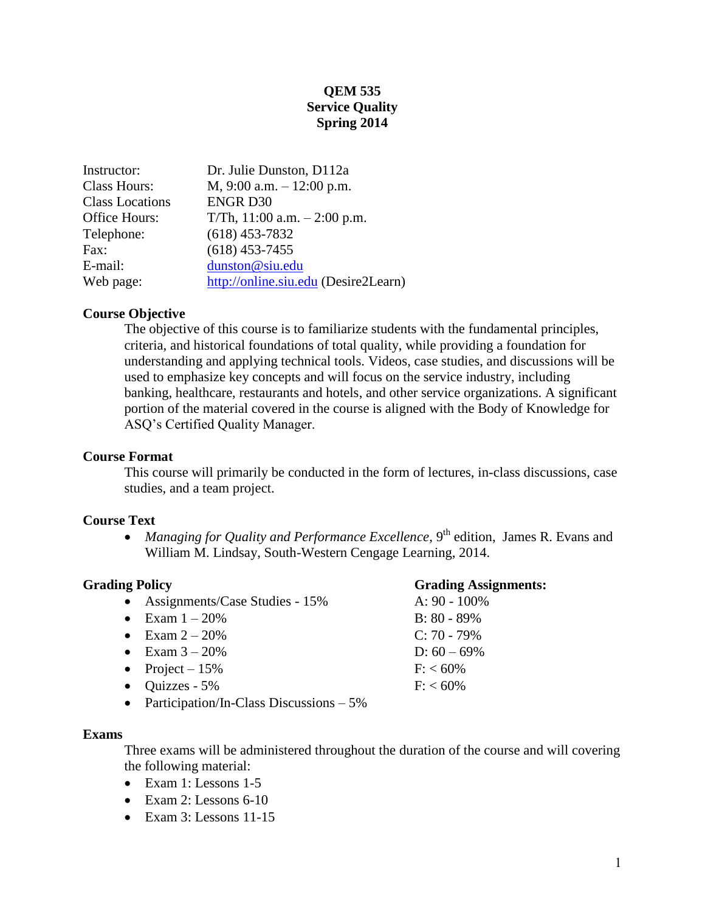## **QEM 535 Service Quality Spring 2014**

| Instructor:            | Dr. Julie Dunston, D112a             |
|------------------------|--------------------------------------|
| <b>Class Hours:</b>    | $M$ , 9:00 a.m. $- 12:00$ p.m.       |
| <b>Class Locations</b> | <b>ENGR D30</b>                      |
| Office Hours:          | T/Th, $11:00$ a.m. $-2:00$ p.m.      |
| Telephone:             | $(618)$ 453-7832                     |
| Fax:                   | $(618)$ 453-7455                     |
| E-mail:                | dunston@siu.edu                      |
| Web page:              | http://online.siu.edu (Desire2Learn) |

### **Course Objective**

The objective of this course is to familiarize students with the fundamental principles, criteria, and historical foundations of total quality, while providing a foundation for understanding and applying technical tools. Videos, case studies, and discussions will be used to emphasize key concepts and will focus on the service industry, including banking, healthcare, restaurants and hotels, and other service organizations. A significant portion of the material covered in the course is aligned with the Body of Knowledge for ASQ's Certified Quality Manager.

#### **Course Format**

This course will primarily be conducted in the form of lectures, in-class discussions, case studies, and a team project.

### **Course Text**

• *Managing for Quality and Performance Excellence*, 9<sup>th</sup> edition, James R. Evans and William M. Lindsay, South-Western Cengage Learning, 2014.

- Assignments/Case Studies 15% A: 90 100%
- Exam  $1 20\%$  B: 80 89%
- Exam  $2 20\%$  C: 70 79%
- Exam  $3 20\%$  D:  $60 69\%$
- Project  $15\%$  F: <  $60\%$
- $\bullet$  Ouizzes 5% F: < 60%
- Participation/In-Class Discussions 5%

### **Exams**

Three exams will be administered throughout the duration of the course and will covering the following material:

- Exam 1: Lessons 1-5
- Exam 2: Lessons  $6-10$
- Exam 3: Lessons 11-15

### **Grading Policy Grading Assignments:**

1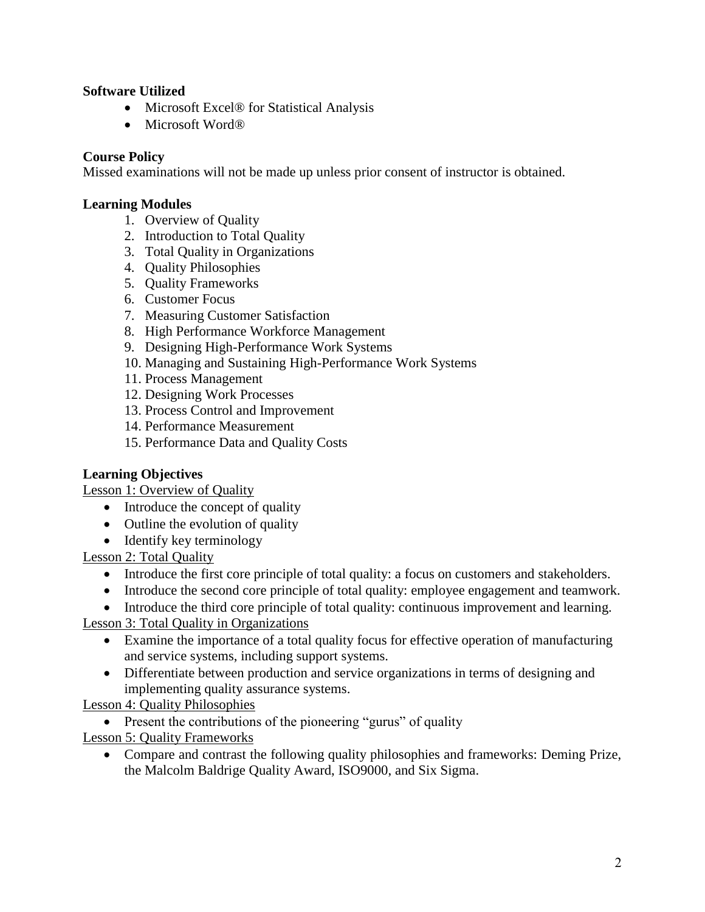## **Software Utilized**

- Microsoft Excel<sup>®</sup> for Statistical Analysis
- Microsoft Word®

## **Course Policy**

Missed examinations will not be made up unless prior consent of instructor is obtained.

## **Learning Modules**

- 1. Overview of Quality
- 2. Introduction to Total Quality
- 3. Total Quality in Organizations
- 4. Quality Philosophies
- 5. Quality Frameworks
- 6. Customer Focus
- 7. Measuring Customer Satisfaction
- 8. High Performance Workforce Management
- 9. Designing High-Performance Work Systems
- 10. Managing and Sustaining High-Performance Work Systems
- 11. Process Management
- 12. Designing Work Processes
- 13. Process Control and Improvement
- 14. Performance Measurement
- 15. Performance Data and Quality Costs

# **Learning Objectives**

Lesson 1: Overview of Quality

- Introduce the concept of quality
- Outline the evolution of quality
- Identify key terminology

Lesson 2: Total Quality

- Introduce the first core principle of total quality: a focus on customers and stakeholders.
- Introduce the second core principle of total quality: employee engagement and teamwork.
- Introduce the third core principle of total quality: continuous improvement and learning.

Lesson 3: Total Quality in Organizations

- Examine the importance of a total quality focus for effective operation of manufacturing and service systems, including support systems.
- Differentiate between production and service organizations in terms of designing and implementing quality assurance systems.

Lesson 4: Quality Philosophies

• Present the contributions of the pioneering "gurus" of quality

Lesson 5: Quality Frameworks

 Compare and contrast the following quality philosophies and frameworks: Deming Prize, the Malcolm Baldrige Quality Award, ISO9000, and Six Sigma.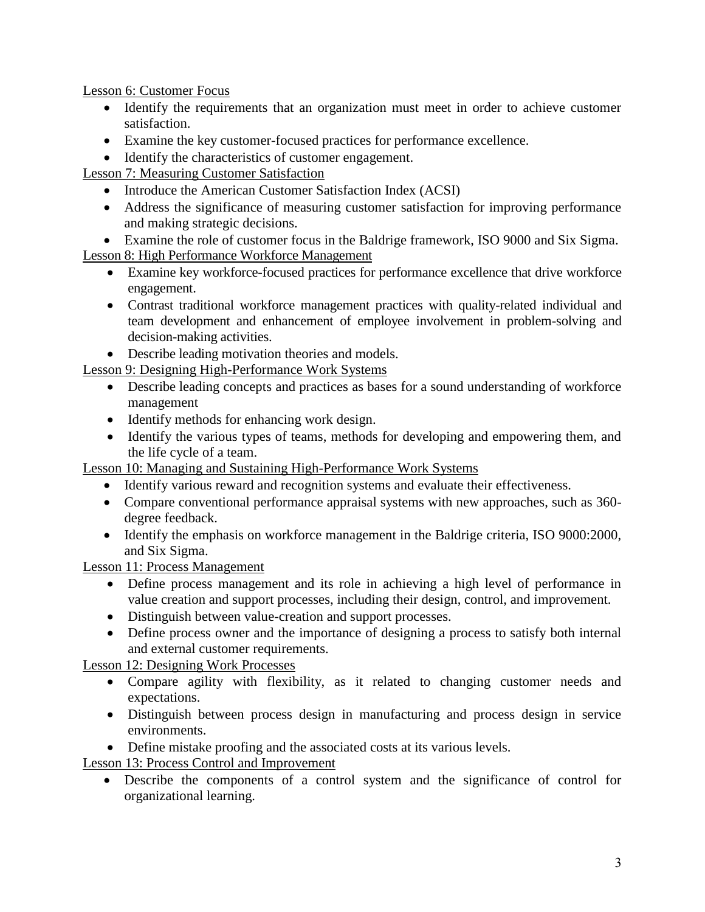Lesson 6: Customer Focus

- Identify the requirements that an organization must meet in order to achieve customer satisfaction.
- Examine the key customer-focused practices for performance excellence.
- Identify the characteristics of customer engagement.

Lesson 7: Measuring Customer Satisfaction

- Introduce the American Customer Satisfaction Index (ACSI)
- Address the significance of measuring customer satisfaction for improving performance and making strategic decisions.
- Examine the role of customer focus in the Baldrige framework, ISO 9000 and Six Sigma.

# Lesson 8: High Performance Workforce Management

- Examine key workforce-focused practices for performance excellence that drive workforce engagement.
- Contrast traditional workforce management practices with quality-related individual and team development and enhancement of employee involvement in problem-solving and decision-making activities.
- Describe leading motivation theories and models.

Lesson 9: Designing High-Performance Work Systems

- Describe leading concepts and practices as bases for a sound understanding of workforce management
- Identify methods for enhancing work design.
- Identify the various types of teams, methods for developing and empowering them, and the life cycle of a team.

Lesson 10: Managing and Sustaining High-Performance Work Systems

- Identify various reward and recognition systems and evaluate their effectiveness.
- Compare conventional performance appraisal systems with new approaches, such as 360 degree feedback.
- Identify the emphasis on workforce management in the Baldrige criteria, ISO 9000:2000, and Six Sigma.

Lesson 11: Process Management

- Define process management and its role in achieving a high level of performance in value creation and support processes, including their design, control, and improvement.
- Distinguish between value-creation and support processes.
- Define process owner and the importance of designing a process to satisfy both internal and external customer requirements.

Lesson 12: Designing Work Processes

- Compare agility with flexibility, as it related to changing customer needs and expectations.
- Distinguish between process design in manufacturing and process design in service environments.
- Define mistake proofing and the associated costs at its various levels.

Lesson 13: Process Control and Improvement

 Describe the components of a control system and the significance of control for organizational learning.